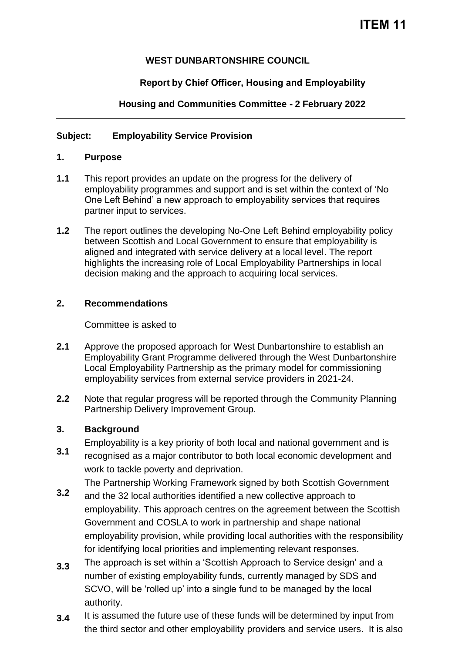## **WEST DUNBARTONSHIRE COUNCIL**

# **Report by Chief Officer, Housing and Employability**

# **Housing and Communities Committee - 2 February 2022**

## **Subject: Employability Service Provision**

## **1. Purpose**

- **1.1** This report provides an update on the progress for the delivery of employability programmes and support and is set within the context of 'No One Left Behind' a new approach to employability services that requires partner input to services.
- **1.2** The report outlines the developing No-One Left Behind employability policy between Scottish and Local Government to ensure that employability is aligned and integrated with service delivery at a local level. The report highlights the increasing role of Local Employability Partnerships in local decision making and the approach to acquiring local services.

## **2. Recommendations**

Committee is asked to

- **2.1** Approve the proposed approach for West Dunbartonshire to establish an Employability Grant Programme delivered through the West Dunbartonshire Local Employability Partnership as the primary model for commissioning employability services from external service providers in 2021-24.
- **2.2** Note that regular progress will be reported through the Community Planning Partnership Delivery Improvement Group.

#### **3. Background**

- Employability is a key priority of both local and national government and is
- **3.1** recognised as a major contributor to both local economic development and work to tackle poverty and deprivation.

The Partnership Working Framework signed by both Scottish Government

- **3.2** and the 32 local authorities identified a new collective approach to employability. This approach centres on the agreement between the Scottish Government and COSLA to work in partnership and shape national employability provision, while providing local authorities with the responsibility for identifying local priorities and implementing relevant responses.
- **3.3** The approach is set within a 'Scottish Approach to Service design' and a number of existing employability funds, currently managed by SDS and SCVO, will be 'rolled up' into a single fund to be managed by the local authority.
- **3.4** It is assumed the future use of these funds will be determined by input from the third sector and other employability providers and service users. It is also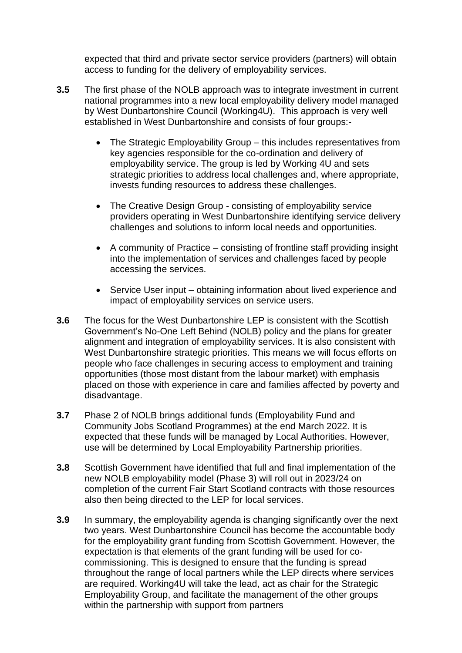expected that third and private sector service providers (partners) will obtain access to funding for the delivery of employability services.

- **3.5** The first phase of the NOLB approach was to integrate investment in current national programmes into a new local employability delivery model managed by West Dunbartonshire Council (Working4U). This approach is very well established in West Dunbartonshire and consists of four groups:-
	- The Strategic Employability Group this includes representatives from key agencies responsible for the co-ordination and delivery of employability service. The group is led by Working 4U and sets strategic priorities to address local challenges and, where appropriate, invests funding resources to address these challenges.
	- The Creative Design Group consisting of employability service providers operating in West Dunbartonshire identifying service delivery challenges and solutions to inform local needs and opportunities.
	- A community of Practice consisting of frontline staff providing insight into the implementation of services and challenges faced by people accessing the services.
	- Service User input obtaining information about lived experience and impact of employability services on service users.
- **3.6** The focus for the West Dunbartonshire LEP is consistent with the Scottish Government's No-One Left Behind (NOLB) policy and the plans for greater alignment and integration of employability services. It is also consistent with West Dunbartonshire strategic priorities. This means we will focus efforts on people who face challenges in securing access to employment and training opportunities (those most distant from the labour market) with emphasis placed on those with experience in care and families affected by poverty and disadvantage.
- **3.7** Phase 2 of NOLB brings additional funds (Employability Fund and Community Jobs Scotland Programmes) at the end March 2022. It is expected that these funds will be managed by Local Authorities. However, use will be determined by Local Employability Partnership priorities.
- **3.8** Scottish Government have identified that full and final implementation of the new NOLB employability model (Phase 3) will roll out in 2023/24 on completion of the current Fair Start Scotland contracts with those resources also then being directed to the LEP for local services.
- **3.9** In summary, the employability agenda is changing significantly over the next two years. West Dunbartonshire Council has become the accountable body for the employability grant funding from Scottish Government. However, the expectation is that elements of the grant funding will be used for cocommissioning. This is designed to ensure that the funding is spread throughout the range of local partners while the LEP directs where services are required. Working4U will take the lead, act as chair for the Strategic Employability Group, and facilitate the management of the other groups within the partnership with support from partners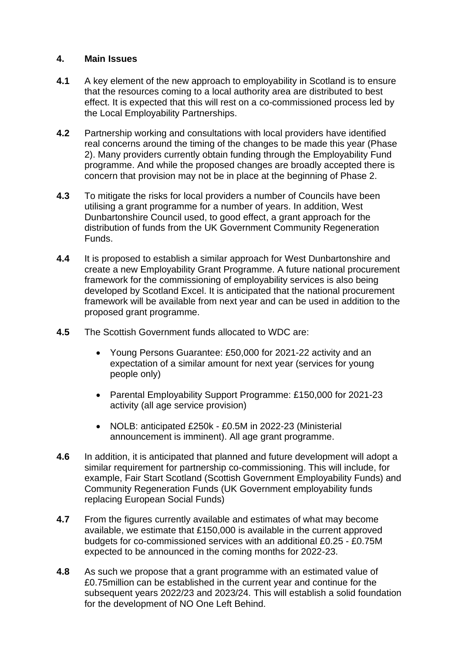#### **4. Main Issues**

- **4.1** A key element of the new approach to employability in Scotland is to ensure that the resources coming to a local authority area are distributed to best effect. It is expected that this will rest on a co-commissioned process led by the Local Employability Partnerships.
- **4.2** Partnership working and consultations with local providers have identified real concerns around the timing of the changes to be made this year (Phase 2). Many providers currently obtain funding through the Employability Fund programme. And while the proposed changes are broadly accepted there is concern that provision may not be in place at the beginning of Phase 2.
- **4.3** To mitigate the risks for local providers a number of Councils have been utilising a grant programme for a number of years. In addition, West Dunbartonshire Council used, to good effect, a grant approach for the distribution of funds from the UK Government Community Regeneration Funds.
- **4.4** It is proposed to establish a similar approach for West Dunbartonshire and create a new Employability Grant Programme. A future national procurement framework for the commissioning of employability services is also being developed by Scotland Excel. It is anticipated that the national procurement framework will be available from next year and can be used in addition to the proposed grant programme.
- **4.5** The Scottish Government funds allocated to WDC are:
	- Young Persons Guarantee: £50,000 for 2021-22 activity and an expectation of a similar amount for next year (services for young people only)
	- Parental Employability Support Programme: £150,000 for 2021-23 activity (all age service provision)
	- NOLB: anticipated £250k £0.5M in 2022-23 (Ministerial announcement is imminent). All age grant programme.
- **4.6** In addition, it is anticipated that planned and future development will adopt a similar requirement for partnership co-commissioning. This will include, for example, Fair Start Scotland (Scottish Government Employability Funds) and Community Regeneration Funds (UK Government employability funds replacing European Social Funds)
- **4.7** From the figures currently available and estimates of what may become available, we estimate that £150,000 is available in the current approved budgets for co-commissioned services with an additional £0.25 - £0.75M expected to be announced in the coming months for 2022-23.
- **4.8** As such we propose that a grant programme with an estimated value of £0.75million can be established in the current year and continue for the subsequent years 2022/23 and 2023/24. This will establish a solid foundation for the development of NO One Left Behind.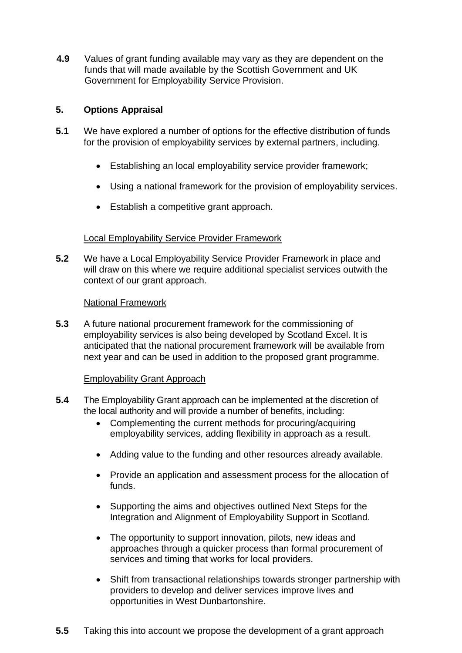**4.9** Values of grant funding available may vary as they are dependent on the funds that will made available by the Scottish Government and UK Government for Employability Service Provision.

## **5. Options Appraisal**

- **5.1** We have explored a number of options for the effective distribution of funds for the provision of employability services by external partners, including.
	- Establishing an local employability service provider framework;
	- Using a national framework for the provision of employability services.
	- Establish a competitive grant approach.

### Local Employability Service Provider Framework

**5.2** We have a Local Employability Service Provider Framework in place and will draw on this where we require additional specialist services outwith the context of our grant approach.

#### National Framework

**5.3** A future national procurement framework for the commissioning of employability services is also being developed by Scotland Excel. It is anticipated that the national procurement framework will be available from next year and can be used in addition to the proposed grant programme.

### Employability Grant Approach

- **5.4** The Employability Grant approach can be implemented at the discretion of the local authority and will provide a number of benefits, including:
	- Complementing the current methods for procuring/acquiring employability services, adding flexibility in approach as a result.
	- Adding value to the funding and other resources already available.
	- Provide an application and assessment process for the allocation of funds.
	- Supporting the aims and objectives outlined Next Steps for the Integration and Alignment of Employability Support in Scotland.
	- The opportunity to support innovation, pilots, new ideas and approaches through a quicker process than formal procurement of services and timing that works for local providers.
	- Shift from transactional relationships towards stronger partnership with providers to develop and deliver services improve lives and opportunities in West Dunbartonshire.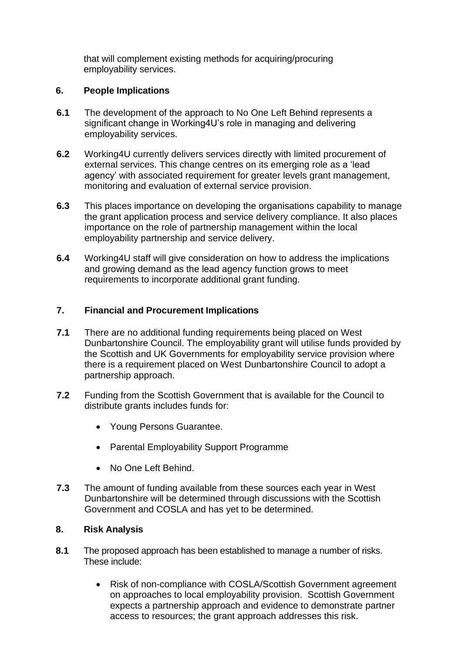that will complement existing methods for acquiring/procuring employability services.

### **6. People Implications**

- **6.1** The development of the approach to No One Left Behind represents a significant change in Working4U's role in managing and delivering employability services.
- **6.2** Working4U currently delivers services directly with limited procurement of external services. This change centres on its emerging role as a 'lead agency' with associated requirement for greater levels grant management, monitoring and evaluation of external service provision.
- **6.3** This places importance on developing the organisations capability to manage the grant application process and service delivery compliance. It also places importance on the role of partnership management within the local employability partnership and service delivery.
- **6.4** Working4U staff will give consideration on how to address the implications and growing demand as the lead agency function grows to meet requirements to incorporate additional grant funding.

## **7. Financial and Procurement Implications**

- **7.1** There are no additional funding requirements being placed on West Dunbartonshire Council. The employability grant will utilise funds provided by the Scottish and UK Governments for employability service provision where there is a requirement placed on West Dunbartonshire Council to adopt a partnership approach.
- **7.2** Funding from the Scottish Government that is available for the Council to distribute grants includes funds for:
	- Young Persons Guarantee.
	- Parental Employability Support Programme
	- No One Left Behind.
- **7.3** The amount of funding available from these sources each year in West Dunbartonshire will be determined through discussions with the Scottish Government and COSLA and has yet to be determined.

## **8. Risk Analysis**

- **8.1** The proposed approach has been established to manage a number of risks. These include:
	- Risk of non-compliance with COSLA/Scottish Government agreement on approaches to local employability provision. Scottish Government expects a partnership approach and evidence to demonstrate partner access to resources; the grant approach addresses this risk.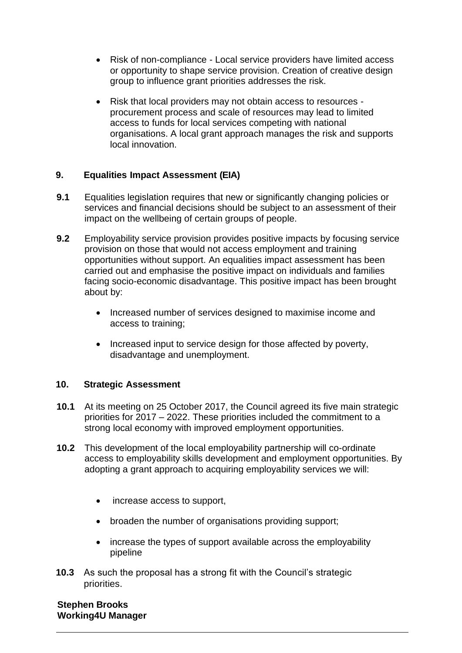- Risk of non-compliance Local service providers have limited access or opportunity to shape service provision. Creation of creative design group to influence grant priorities addresses the risk.
- Risk that local providers may not obtain access to resources procurement process and scale of resources may lead to limited access to funds for local services competing with national organisations. A local grant approach manages the risk and supports local innovation.

## **9. Equalities Impact Assessment (EIA)**

- **9.1** Equalities legislation requires that new or significantly changing policies or services and financial decisions should be subject to an assessment of their impact on the wellbeing of certain groups of people.
- **9.2** Employability service provision provides positive impacts by focusing service provision on those that would not access employment and training opportunities without support. An equalities impact assessment has been carried out and emphasise the positive impact on individuals and families facing socio-economic disadvantage. This positive impact has been brought about by:
	- Increased number of services designed to maximise income and access to training;
	- Increased input to service design for those affected by poverty, disadvantage and unemployment.

### **10. Strategic Assessment**

- **10.1** At its meeting on 25 October 2017, the Council agreed its five main strategic priorities for 2017 – 2022. These priorities included the commitment to a strong local economy with improved employment opportunities.
- **10.2** This development of the local employability partnership will co-ordinate access to employability skills development and employment opportunities. By adopting a grant approach to acquiring employability services we will:
	- increase access to support,
	- broaden the number of organisations providing support;
	- increase the types of support available across the employability pipeline
- **10.3** As such the proposal has a strong fit with the Council's strategic priorities.

### **Stephen Brooks Working4U Manager**